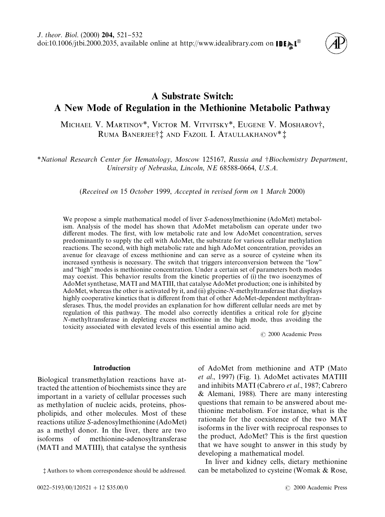

# A Substrate Switch: A New Mode of Regulation in the Methionine Metabolic Pathway

MICHAEL V. MARTINOV<sup>\*</sup>, VICTOR M. VITVITSKY<sup>\*</sup>, EUGENE V. MOSHAROV<sup>†</sup>, RUMA BANERJEE†! AND FAZOIL I. ATAULLAKHANOV<sup>\*</sup>!

*\*National Research Center for Hematology*, *Moscow* 125167, *Russia and* -*Biochemistry Department*, University of Nebraska, Lincoln, NE 68588-0664, U.S.A.

(*Received on* 15 *October* 1999, *Accepted in revised form on* 1 *March* 2000)

We propose a simple mathematical model of liver *S*-adenosylmethionine (AdoMet) metabolism. Analysis of the model has shown that AdoMet metabolism can operate under two different modes. The first, with low metabolic rate and low AdoMet concentration, serves predominantly to supply the cell with AdoMet, the substrate for various cellular methylation reactions. The second, with high metabolic rate and high AdoMet concentration, provides an avenue for cleavage of excess methionine and can serve as a source of cysteine when its increased synthesis is necessary. The switch that triggers interconversion between the "low" and "high" modes is methionine concentration. Under a certain set of parameters both modes may coexist. This behavior results from the kinetic properties of (i) the two isoenzymes of AdoMet synthetase, MATI and MATIII, that catalyse AdoMet production; one is inhibited by AdoMet, whereas the other is activated by it, and (ii) glycine-*N*-methyltransferase that displays highly cooperative kinetics that is different from that of other AdoMet-dependent methyltransferases. Thus, the model provides an explanation for how different cellular needs are met by regulation of this pathway. The model also correctly identifies a critical role for glycine *N*-methyltransferase in depleting excess methionine in the high mode, thus avoiding the toxicity associated with elevated levels of this essential amino acid.

( 2000 Academic Press

## Introduction

Biological transmethylation reactions have attracted the attention of biochemists since they are important in a variety of cellular processes such as methylation of nucleic acids, proteins, phospholipids, and other molecules. Most of these reactions utilize *S*-adenosylmethionine (AdoMet) as a methyl donor. In the liver, there are two isoforms of methionine-adenosyltransferase (MATI and MATIII), that catalyse the synthesis of AdoMet from methionine and ATP [\(Mato](#page-11-0) *et al*[., 1997\)](#page-11-0) [\(Fig. 1\).](#page-1-0) AdoMet activates MATIII and inhibits MATI [\(Cabrero](#page-10-0) *et al*., 1987; [Cabrero](#page-10-0) [& Alemani, 1988\).](#page-10-0) There are many interesting questions that remain to be answered about methionine metabolism. For instance, what is the rationale for the coexistence of the two MAT isoforms in the liver with reciprocal responses to the product, AdoMet? This is the first question that we have sought to answer in this study by developing a mathematical model.

In liver and kidney cells, dietary methionine can be metabolized to cysteine [\(Womak & Rose,](#page-11-0)

<sup>?</sup> Authors to whom correspondence should be addressed.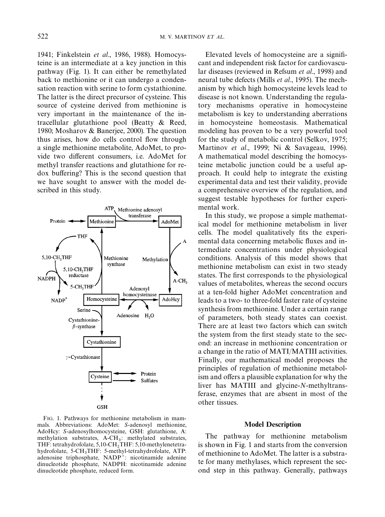<span id="page-1-0"></span>[1941](#page-11-0); [Finkelstein](#page-11-0) *et al*., 1986, [1988\)](#page-11-0). Homocysteine is an intermediate at a key junction in this pathway (Fig. 1). It can either be remethylated back to methionine or it can undergo a condensation reaction with serine to form cystathionine. The latter is the direct precursor of cysteine. This source of cysteine derived from methionine is very important in the maintenance of the intracellular glutathione pool [\(Beatty & Reed,](#page-10-0) [1980;](#page-10-0) [Mosharov & Banerjee, 2000\).](#page-11-0) The question thus arises, how do cells control flow through a single methionine metabolite, AdoMet, to provide two different consumers, i.e. AdoMet for methyl transfer reactions and glutathione for redox buffering? This is the second question that we have sought to answer with the model described in this study.



FIG. 1. Pathways for methionine metabolism in mammals. Abbreviations: AdoMet: *S*-adenosyl methionine, AdoHcy: *S*-adenosylhomocysteine, GSH: glutathione, A: methylation substrates, A-CH<sub>3</sub>: methylated substrates, THF: tetrahydrofolate, 5,10-CH<sup>2</sup> THF: 5,10-methylenetetrahydrofolate, 5-CH<sub>3</sub>THF: 5-methyl-tetrahydrofolate, ATP:<br>colonasing triphasphate, NADD<sup>+</sup>+ piastinamide adminst adenosine triphosphate, NADP`: nicotinamide adenine dinucleotide phosphate, NADPH: nicotinamide adenine dinucleotide phosphate, reduced form.

Elevated levels of homocysteine are a significant and independent risk factor for cardiovascular diseases (reviewed in [Refsum](#page-11-0) *et al*., 1998) and neural tube defects (Mills *et al*[., 1995\)](#page-11-0). The mechanism by which high homocysteine levels lead to disease is not known. Understanding the regulatory mechanisms operative in homocysteine metabolism is key to understanding aberrations in homocysteine homeostasis. Mathematical modeling has proven to be a very powerful tool for the study of metabolic control [\(Selkov, 1975;](#page-11-0) [Martinov](#page-11-0) *et al*., 1999; [Ni & Savageau, 1996\)](#page-11-0). A mathematical model describing the homocysteine metabolic junction could be a useful approach. It could help to integrate the existing experimental data and test their validity, provide a comprehensive overview of the regulation, and suggest testable hypotheses for further experimental work.

In this study, we propose a simple mathematical model for methionine metabolism in liver cells. The model qualitatively fits the experimental data concerning metabolic fluxes and intermediate concentrations under physiological conditions. Analysis of this model shows that methionine metabolism can exist in two steady states. The first corresponds to the physiological values of metabolites, whereas the second occurs at a ten-fold higher AdoMet concentration and leads to a two- to three-fold faster rate of cysteine synthesis from methionine. Under a certain range of parameters, both steady states can coexist. There are at least two factors which can switch the system from the first steady state to the second: an increase in methionine concentration or a change in the ratio of MATI/MATIII activities. Finally, our mathematical model proposes the principles of regulation of methionine metabolism and offers a plausible explanation for why the liver has MATIII and glycine-*N*-methyltransferase, enzymes that are absent in most of the other tissues.

#### Model Description

The pathway for methionine metabolism is shown in Fig. 1 and starts from the conversion of methionine to AdoMet. The latter is a substrate for many methylases, which represent the second step in this pathway. Generally, pathways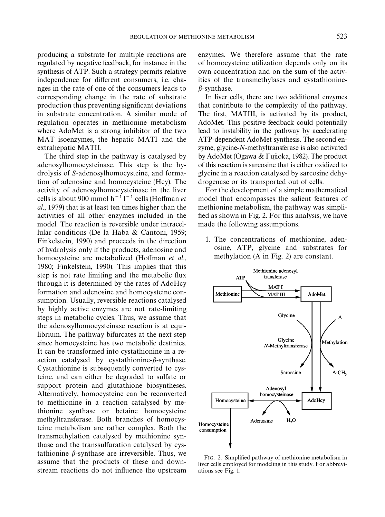producing a substrate for multiple reactions are regulated by negative feedback, for instance in the synthesis of ATP. Such a strategy permits relative independence for different consumers, i.e. changes in the rate of one of the consumers leads to corresponding change in the rate of substrate production thus preventing significant deviations in substrate concentration. A similar mode of regulation operates in methionine metabolism where AdoMet is a strong inhibitor of the two MAT isoenzymes, the hepatic MATI and the extrahepatic MATII.

The third step in the pathway is catalysed by adenosylhomocysteinase. This step is the hydrolysis of *S*-adenosylhomocysteine, and formation of adenosine and homocysteine (Hcy). The activity of adenosylhomocysteinase in the liver cells is about 900 mmol  $h^{-1}l^{-1}$  cells (Hoff[man](#page-11-0) *et al*[., 1979\)](#page-11-0) that is at least ten times higher than the activities of all other enzymes included in the model. The reaction is reversible under intracellular conditions [\(De la Haba & Cantoni, 1959;](#page-11-0) [Finkelstein, 1990\)](#page-11-0) and proceeds in the direction of hydrolysis only if the products, adenosine and homocysteine are metabolized (Hoffman [et al](#page-11-0)., [1980; Finkelstein, 1990\)](#page-11-0). This implies that this step is not rate limiting and the metabolic flux through it is determined by the rates of AdoHcy formation and adenosine and homocysteine consumption. Usually, reversible reactions catalysed by highly active enzymes are not rate-limiting steps in metabolic cycles. Thus, we assume that the adenosylhomocysteinase reaction is at equilibrium. The pathway bifurcates at the next step since homocysteine has two metabolic destinies. It can be transformed into cystathionine in a reaction catalysed by cystathionine- $\beta$ -synthase. Cystathionine is subsequently converted to cysteine, and can either be degraded to sulfate or support protein and glutathione biosyntheses. Alternatively, homocysteine can be reconverted to methionine in a reaction catalysed by methionine synthase or betaine homocysteine methyltransferase. Both branches of homocysteine metabolism are rather complex. Both the transmethylation catalysed by methionine synthase and the transsulfuration catalysed by cystathionine  $\beta$ -synthase are irreversible. Thus, we assume that the products of these and downstream reactions do not influence the upstream enzymes. We therefore assume that the rate of homocysteine utilization depends only on its own concentration and on the sum of the activities of the transmethylases and cystathionine- $\beta$ -synthase.

In liver cells, there are two additional enzymes that contribute to the complexity of the pathway. The first, MATIII, is activated by its product, AdoMet. This positive feedback could potentially lead to instability in the pathway by accelerating ATP-dependent AdoMet synthesis. The second enzyme, glycine-*N*-methyltransferase is also activated by AdoMet [\(Ogawa & Fujioka, 1982\)](#page-11-0). The product of this reaction is sarcosine that is either oxidized to glycine in a reaction catalysed by sarcosine dehydrogenase or its transported out of cells.

For the development of a simple mathematical model that encompasses the salient features of methionine metabolism, the pathway was simpli fied as shown in Fig. 2. For this analysis, we have made the following assumptions.

1. The concentrations of methionine, adenosine, ATP, glycine and substrates for methylation (A in Fig. 2) are constant.



FIG. 2. Simplified pathway of methionine metabolism in liver cells employed for modeling in this study. For abbreviations see [Fig. 1.](#page-1-0)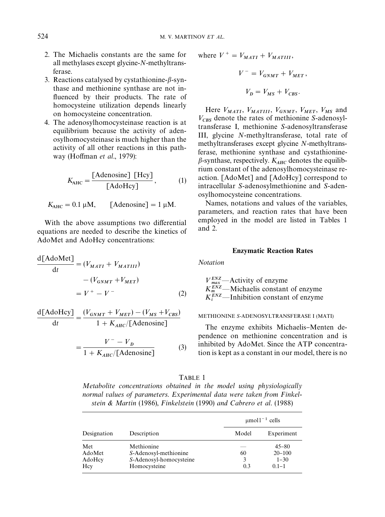- <span id="page-3-0"></span>2. The Michaelis constants are the same for all methylases except glycine-*N*-methyltransferase.
- 3. Reactions catalysed by cystathionine- $\beta$ -synthase and methionine synthase are not in fluenced by their products. The rate of homocysteine utilization depends linearly on homocysteine concentration.
- 4. The adenosylhomocysteinase reaction is at equilibrium because the activity of adenosylhomocysteinase is much higher than the activity of all other reactions in this pathway (Hoffman *et al.*, 1979):

$$
K_{\text{AHC}} = \frac{\text{[Adenosine]} \text{ [Hey]}}{\text{[AdoHey]}},\tag{1}
$$

$$
K_{\text{AHC}} = 0.1 \, \mu \text{M}, \qquad \text{[Adenosine]} = 1 \, \mu \text{M}.
$$

With the above assumptions two differential equations are needed to describe the kinetics of AdoMet and AdoHcy concentrations:

$$
\frac{\text{d}[{\text{AdoMet}}]}{\text{d}t} = (V_{MATI} + V_{MATIII})
$$

$$
- (V_{GNMT} + V_{MET})
$$

$$
= V^+ - V^-
$$
(2)

$$
\frac{\text{d}[{\text{AdoHey}}]}{\text{d}t} = \frac{(V_{GNMT} + V_{MET}) - (V_{MS} + V_{CBS})}{1 + K_{AHC}/[{\text{Adenosine}}]}
$$

$$
= \frac{V^- - V_D}{1 + K_{ABC}/[\text{Adenosine}]}
$$
 (3)

where 
$$
V^+ = V_{MATI} + V_{MATIII},
$$

$$
V^- = V_{GNMT} + V_{MET},
$$

$$
V_D = V_{MS} + V_{CBS}.
$$

Here  $V_{MATI}$ ,  $V_{MATIII}$ ,  $V_{GNMT}$ ,  $V_{MET}$ ,  $V_{MS}$  and  $V_{CBS}$  denote the rates of methionine *S*-adenosyltransferase I, methionine *S*-adenosyltransferase III, glycine *N*-methyltransferase, total rate of methyltransferases except glycine *N*-methyltransferase, methionine synthase and cystathionine- $\beta$ -synthase, respectively.  $K_{AHC}$  denotes the equilibrium constant of the adenosylhomocysteinase reaction. [AdoMet] and [AdoHcy] correspond to intracellular *S*-adenosylmethionine and *S*-adenosylhomocysteine concentrations.

Names, notations and values of the variables, parameters, and reaction rates that have been employed in the model are listed in Tables 1 and [2.](#page-4-0)

## Enzymatic Reaction Rates

*Notation*

 $V_{max}^{ENZ}$  - Activity of enzyme  $K_{m}^{ENZ}$ —Michaelis constant of enzyme  $K_i^{ENZ}$ —Inhibition constant of enzyme

## METHIONINE *S*-ADENOSYLTRANSFERASE I (MATI)

The enzyme exhibits Michaelis–Menten dependence on methionine concentration and is inhibited by AdoMet. Since the ATP concentration is kept as a constant in our model, there is no

| יי |  |
|----|--|
|----|--|

*Metabolite concentrations obtained in the model using physiologically normal values of parameters*. *Experimental data were taken from [Finkel](#page-11-0)[stein & Martin](#page-11-0)* (1986), *[Finkelstein](#page-11-0)* (1990) *and [Cabrero et al](#page-10-0)*. (1988)

|                                |                                                                                |                | $\mu$ mol $1^{-1}$ cells                         |  |  |
|--------------------------------|--------------------------------------------------------------------------------|----------------|--------------------------------------------------|--|--|
| Designation                    | Description                                                                    | Model          | Experiment                                       |  |  |
| Met<br>AdoMet<br>AdoHcy<br>Hcy | Methionine<br>S-Adenosyl-methionine<br>S-Adenosyl-homocysteine<br>Homocysteine | 60<br>3<br>0.3 | $45 - 80$<br>$20 - 100$<br>$1 - 30$<br>$0.1 - 1$ |  |  |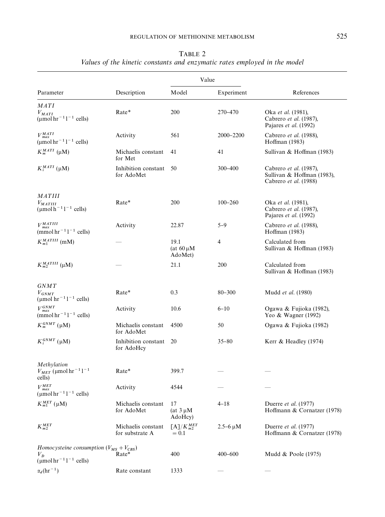<span id="page-4-0"></span>

|                                                                                      |                                       | Value                             |                 |                                                                               |
|--------------------------------------------------------------------------------------|---------------------------------------|-----------------------------------|-----------------|-------------------------------------------------------------------------------|
| Parameter                                                                            | Description                           | Model                             | Experiment      | References                                                                    |
| <b>MATI</b>                                                                          |                                       |                                   |                 |                                                                               |
| $V_{MATI}$<br>$(\mu$ mol hr <sup>-1</sup> 1 <sup>-1</sup> cells)                     | Rate*                                 | 200                               | 270-470         | Oka et al. (1981),<br>Cabrero et al. (1987),<br>Pajares et al. (1992)         |
| $V_{\mathit{max}}^{\mathit{MATI}}$<br>$(\text{µmol hr}^{-1}1^{-1}$ cells)            | Activity                              | 561                               | 2000-2200       | Cabrero et al. (1988),<br>Hoffman (1983)                                      |
| $K_m^{MATI}$ ( $\mu$ M)                                                              | Michaelis constant<br>for Met         | 41                                | 41              | Sullivan & Hoffman (1983)                                                     |
| $K_i^{MATI}$ (µM)                                                                    | Inhibition constant<br>for AdoMet     | 50                                | $300 - 400$     | Cabrero et al. (1987),<br>Sullivan & Hoffman (1983),<br>Cabrero et al. (1988) |
| <i>MATIII</i>                                                                        |                                       |                                   |                 |                                                                               |
| $V_{MATIII}$<br>$(\mu \text{mol} \, \text{h}^{-1} \, \text{l}^{-1} \, \text{cells})$ | Rate*                                 | 200                               | $100 - 260$     | Oka et al. (1981),<br>Cabrero et al. (1987),<br>Pajares et al. (1992)         |
| $V_{\mathit{max}}^{\mathit{MATIII}}$<br>(mmol hr <sup>-1</sup> $1^{-1}$ cells)       | Activity                              | 22.87                             | $5 - 9$         | Cabrero et al. (1988),<br>Hoffman (1983)                                      |
| $K_{m1}^{MATIII}$ (mM)                                                               |                                       | 19.1<br>(at $60 \mu M$<br>AdoMet) | $\overline{4}$  | Calculated from<br>Sullivan & Hoffman (1983)                                  |
| $K_{m2}^{MATIII}$ (µM)                                                               |                                       | 21.1                              | 200             | Calculated from<br>Sullivan & Hoffman (1983)                                  |
| <b>GNMT</b>                                                                          |                                       |                                   |                 |                                                                               |
| $V_{GNMT}$<br>(µmol $hr^{-1}l^{-1}$ cells)                                           | Rate*                                 | 0.3                               | $80 - 300$      | Mudd et al. (1980)                                                            |
| $V_{\mathit{max}}^{\mathit{GNMT}}$<br>(mmol $hr^{-1}l^{-1}$ cells)                   | Activity                              | 10.6                              | $6 - 10$        | Ogawa & Fujioka (1982),<br>Yeo & Wagner (1992)                                |
| $K_m^{GNMT}$ (µM)                                                                    | Michaelis constant<br>for AdoMet      | 4500                              | 50              | Ogawa & Fujioka (1982)                                                        |
| $K_i^{GNMT}$ (µM)                                                                    | Inhibition constant<br>for AdoHcy     | 20                                | $35 - 80$       | Kerr & Headley (1974)                                                         |
| Methylation<br>$V_{MET}$ (µmol hr <sup>-1</sup> 1 <sup>-1</sup><br>cells)            | Rate*                                 | 399.7                             |                 |                                                                               |
| $V_{\mathit{max}}^{\mathit{MET}}$<br>$(\mu \text{mol hr}^{-1}1^{-1}$ cells)          | Activity                              | 4544                              |                 |                                                                               |
| $K_{m1}^{MET}\left( \mu \mathrm{M}\right)$                                           | Michaelis constant<br>for AdoMet      | 17<br>(at $3 \mu M$<br>AdoHcy)    | $4 - 18$        | Duerre et al. (1977)<br>Hoffmann & Cornatzer (1978)                           |
| $K_{m2}^{MET}$                                                                       | Michaelis constant<br>for substrate A | $[A]/K_{m2}^{MET}$<br>$= 0.1$     | $2.5 - 6 \mu M$ | Duerre et al. (1977)<br>Hoffmann & Cornatzer (1978)                           |
| Homocysteine consumption $(V_{MS} + V_{CBS})$                                        |                                       |                                   |                 |                                                                               |
| $V_{D}$<br>$(\mu \text{mol hr}^{-1}1^{-1}$ cells)                                    | Rate*                                 | 400                               | $400 - 600$     | Mudd & Poole (1975)                                                           |
| $\alpha_d(hr^{-1})$                                                                  | Rate constant                         | 1333                              |                 |                                                                               |

## TABLE 2 Values of the kinetic constants and enzymatic rates employed in the model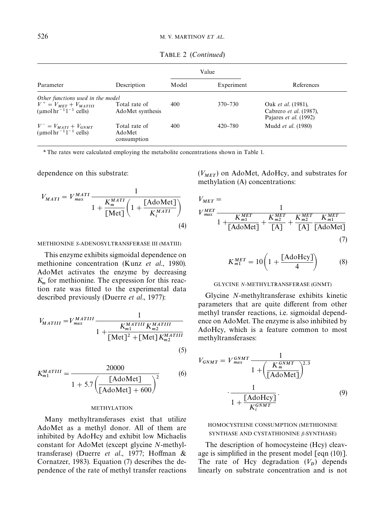TABLE 2 (*Continued*)

<span id="page-5-0"></span>

|                                                                                                                  |                                        | Value |             |                                                                              |
|------------------------------------------------------------------------------------------------------------------|----------------------------------------|-------|-------------|------------------------------------------------------------------------------|
| Parameter                                                                                                        | Description                            | Model | Experiment  | References                                                                   |
| Other functions used in the model                                                                                |                                        |       |             |                                                                              |
| $V^+ = V_{MET} + V_{MATIII}$<br>$\left(\mu\mathrm{mol\,hr}^{-1}\right)\left\{\frac{\mu}{\mathrm{cells}}\right\}$ | Total rate of<br>AdoMet synthesis      | 400   | 370–730     | Oak et al. (1981),<br>Cabrero et al. (1987),<br>Pajares <i>et al.</i> (1992) |
| $V^- = V_{MATI} + V_{GNMT}$<br>( $\mu$ mol hr <sup>-1</sup> l <sup>-1</sup> cells)                               | Total rate of<br>AdoMet<br>consumption | 400   | $420 - 780$ | Mudd et al. (1980)                                                           |

*\**The rates were calculated employing the metabolite concentrations shown in [Table 1.](#page-3-0)

dependence on this substrate:

$$
V_{MATI} = V_{max}^{MATI} \frac{1}{1 + \frac{K_m^{MATI}}{\text{[Met]}} \left(1 + \frac{\text{[AdoMet]}}{K_i^{MATI}}\right)}
$$
\n(4)

METHIONINE *S*-ADENOSYLTRANSFERASE III (MATIII)

This enzyme exhibits sigmoidal dependence on methionine concentration (Kunz *et al*[., 1980\)](#page-11-0). AdoMet activates the enzyme by decreasing  $K_m$  for methionine. The expression for this reaction rate was fitted to the experimental data described previously [\(Duerre](#page-11-0) *et al*., 1977):

$$
V_{MATIII} = V_{max}^{MATIII} \frac{1}{1 + \frac{K_{m1}^{MATIII} K_{m2}^{MATIII}}{[Met]^2 + [Met] K_{m2}^{MATIII}}}
$$
\n(5)

$$
K_{m1}^{MATIII} = \frac{20000}{1 + 5.7 \left(\frac{\text{[AdoMet]}}{\text{[AdoMet]}} + 600\right)^2}
$$
 (6)

#### METHYLATION

Many methyltransferases exist that utilize AdoMet as a methyl donor. All of them are inhibited by AdoHcy and exhibit low Michaelis constant for AdoMet (except glycine *N*-methyl-transferase) [\(Duerre](#page-11-0) et al., 1977; Hoff[man &](#page-11-0) [Cornatzer, 1983\)](#page-11-0). Equation (7) describes the dependence of the rate of methyl transfer reactions

 $(V_{MET})$  on AdoMet, AdoHcy, and substrates for methylation (A) concentrations:

$$
V_{MET} =
$$
\n
$$
V_{max}^{MET} = \frac{1}{1 + \frac{K_{m1}^{MET}}{[AdoMet]}} + \frac{K_{m2}^{MET}}{[A]} + \frac{K_{m2}^{MET}}{[A]} + \frac{K_{m2}^{MET}}{[A]} \frac{K_{m1}^{MET}}{[AdoMet]}}
$$
\n(7)

$$
K_{m1}^{MET} = 10\left(1 + \frac{[AdoHcy]}{4}\right) \tag{8}
$$

#### GLYCINE *N*-METHYLTRANSFERASE (GNMT)

Glycine *N*-methyltransferase exhibits kinetic parameters that are quite different from other methyl transfer reactions, i.e. sigmoidal dependence on AdoMet. The enzyme is also inhibited by AdoHcy, which is a feature common to most methyltransferases:

$$
V_{GNMT} = V_{max}^{GNMT} \frac{1}{1 + \left(\frac{K_m^{GNMT}}{\text{[AdoMet]}}\right)^{2.3}}
$$

$$
\frac{1}{1 + \frac{\text{[AdoHey]}}{K_i^{GNMT}}}.
$$
(9)

## HOMOCYSTEINE CONSUMPTION (METHIONINE SYNTHASE AND CYSTATHIONINE  $\beta$ -SYNTHASE)

The description of homocysteine (Hcy) cleavage is simplified in the present model  $[eqn(10)].$ The rate of Hcy degradation  $(V_D)$  depends linearly on substrate concentration and is not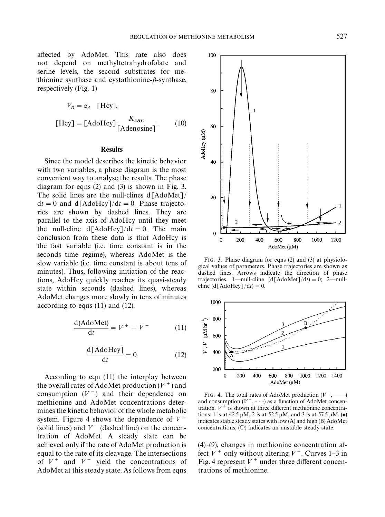100

80

60

40

AdoHcy (µM)

<span id="page-6-0"></span>affected by AdoMet. This rate also does not depend on methyltetrahydrofolate and serine levels, the second substrates for methionine synthase and cystathionine- $\beta$ -synthase, respectively [\(Fig. 1\)](#page-1-0)

$$
V_D = \alpha_d \quad \text{[Hcy]},
$$
  
[Hcy] = [AdoHcy]  $\frac{K_{AHC}}{[\text{Adenosine}]}$ . (10)

#### Results

Since the model describes the kinetic behavior with two variables, a phase diagram is the most convenient way to analyse the results. The phase diagram for [eqns \(2\)](#page-3-0) and [\(3\)](#page-3-0) is shown in Fig. 3. The solid lines are the null-clines d[AdoMet]/  $dt = 0$  and  $d[AdoHcy]/dt = 0$ . Phase trajectories are shown by dashed lines. They are parallel to the axis of AdoHcy until they meet the null-cline  $d[AdoHcy]/dt = 0$ . The main conclusion from these data is that AdoHcy is the fast variable (i.e. time constant is in the seconds time regime), whereas AdoMet is the slow variable (i.e. time constant is about tens of minutes). Thus, following initiation of the reactions, AdoHcy quickly reaches its quasi-steady state within seconds (dashed lines), whereas AdoMet changes more slowly in tens of minutes according to eqns (11) and (12).

$$
\frac{d(\text{AdoMet})}{dt} = V^+ - V^- \tag{11}
$$

$$
\frac{\text{d}[{\text{AdoHcy}}]}{\text{d}t} = 0 \tag{12}
$$

According to eqn (11) the interplay between the overall rates of AdoMet production  $(V^+)$  and consumption  $(V^-)$  and their dependence on methionine and AdoMet concentrations determines the kinetic behavior of the whole metabolic system. Figure 4 shows the dependence of  $V^+$ (solid lines) and  $V^-$  (dashed line) on the concentration of AdoMet. A steady state can be achieved only if the rate of AdoMet production is equal to the rate of its cleavage. The intersections of  $V^+$  and  $V^-$  yield the concentrations of AdoMet at this steady state. As follows from [eqns](#page-5-0)

20 2  $\mathbf 0$  $\Omega$ 200 400 600 800 1000 1200  $AdoMet (µM)$ FIG. 3. Phase diagram for [eqns \(2\)](#page-3-0) and [\(3\)](#page-3-0) at physiolo-

 $\mathbf{1}$ 

gical values of parameters. Phase trajectories are shown as dashed lines. Arrows indicate the direction of phase trajectories. 1—null-cline  $(d[AdoMet]/dt) = 0; 2$ —nullcline  $(d[AdoHcy]/dt) = 0.$ 



FIG. 4. The total rates of AdoMet production ( $V^+$ , and consumption  $(V^-, \text{-} \text{-})$  as a function of AdoMet concentration.  $V^+$  is shown at three different methionine concentrations: 1 is at 42.5  $\mu$ M, 2 is at 52.5  $\mu$ M, and 3 is at 57.5  $\mu$ M. ( $\bullet$ ) indicates stable steady states with low (A) and high (B) AdoMet concentrations;  $(O)$  indicates an unstable steady state.

 $(4)$ – $(9)$ , changes in methionine concentration affect  $V^+$  only without altering  $V^-$ . Curves 1–3 in Fig. 4 represent  $V^+$  under three different concentrations of methionine.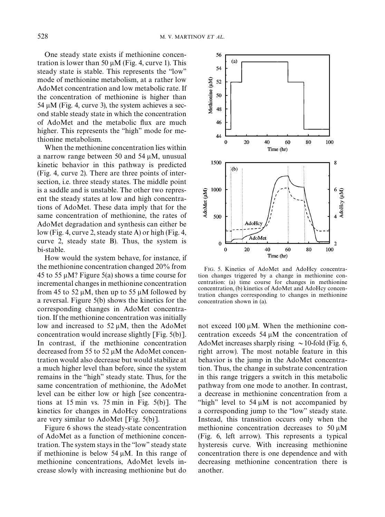<span id="page-7-0"></span>One steady state exists if methionine concentration is lower than 50  $\mu$ M [\(Fig. 4,](#page-6-0) curve 1). This steady state is stable. This represents the "low" mode of methionine metabolism, at a rather low AdoMet concentration and low metabolic rate. If the concentration of methionine is higher than 54  $\mu$ M [\(Fig. 4](#page-6-0), curve 3), the system achieves a second stable steady state in which the concentration of AdoMet and the metabolic flux are much higher. This represents the "high" mode for methionine metabolism.

When the methionine concentration lies within a narrow range between 50 and 54  $\mu$ M, unusual kinetic behavior in this pathway is predicted [\(Fig. 4,](#page-6-0) curve 2). There are three points of intersection, i.e. three steady states. The middle point is a saddle and is unstable. The other two represent the steady states at low and high concentrations of AdoMet. These data imply that for the same concentration of methionine, the rates of AdoMet degradation and synthesis can either be low [\(Fig. 4,](#page-6-0) curve 2, steady state A) or high [\(Fig. 4,](#page-6-0) curve 2, steady state B). Thus, the system is bi-stable.

How would the system behave, for instance, if the methionine concentration changed 20% from 45 to 55  $\mu$ M? Figure 5(a) shows a time course for incremental changes in methionine concentration from 45 to 52  $\mu$ M, then up to 55  $\mu$ M followed by a reversal. Figure 5(b) shows the kinetics for the corresponding changes in AdoMet concentration. If the methionine concentration was initially low and increased to  $52 \mu M$ , then the AdoMet concentration would increase slightly [Fig. 5(b)]. In contrast, if the methionine concentration decreased from 55 to 52  $\mu$ M the AdoMet concentration would also decrease but would stabilize at a much higher level than before, since the system remains in the "high" steady state. Thus, for the same concentration of methionine, the AdoMet level can be either low or high [see concentrations at 15 min vs. 75 min in Fig. 5(b)]. The kinetics for changes in AdoHcy concentrations are very similar to AdoMet [Fig. 5(b)].

[Figure 6](#page-8-0) shows the steady-state concentration of AdoMet as a function of methionine concentration. The system stays in the "low" steady state if methionine is below 54  $\mu$ M. In this range of methionine concentrations, AdoMet levels increase slowly with increasing methionine but do



FIG. 5. Kinetics of AdoMet and AdoHcy concentration changes triggered by a change in methionine concentration: (a) time course for changes in methionine concentration, (b) kinetics of AdoMet and AdoHcy concentration changes corresponding to changes in methionine concentration shown in (a).

not exceed 100  $\mu$ M. When the methionine concentration exceeds  $54 \mu M$  the concentration of AdoMet increases sharply rising  $\sim$  10-fold [\(Fig. 6,](#page-8-0) right arrow). The most notable feature in this behavior is the jump in the AdoMet concentration. Thus, the change in substrate concentration in this range triggers a switch in this metabolic pathway from one mode to another. In contrast, a decrease in methionine concentration from a "high" level to  $54 \mu M$  is not accompanied by a corresponding jump to the "low" steady state. Instead, this transition occurs only when the methionine concentration decreases to  $50 \mu M$ [\(Fig. 6](#page-8-0), left arrow). This represents a typical hysteresis curve. With increasing methionine concentration there is one dependence and with decreasing methionine concentration there is another.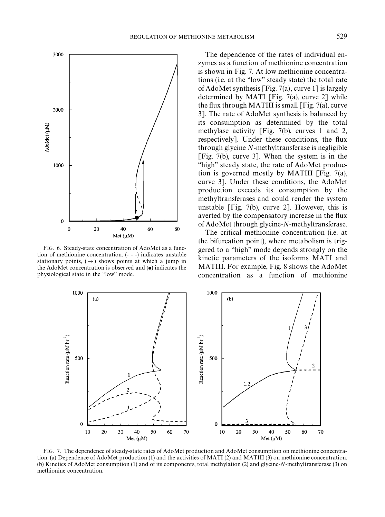<span id="page-8-0"></span>

FIG. 6. Steady-state concentration of AdoMet as a function of methionine concentration. (- - -) indicates unstable stationary points,  $(\rightarrow)$  shows points at which a jump in the AdoMet concentration is observed and  $\left(\bullet\right)$  indicates the physiological state in the "low" mode.

The dependence of the rates of individual enzymes as a function of methionine concentration is shown in Fig. 7. At low methionine concentrations (i.e. at the "low" steady state) the total rate of AdoMet synthesis [Fig. 7(a), curve 1] is largely determined by MATI [Fig. 7(a), curve  $2$ ] while the flux through MATIII is small  $[Fig, 7(a)$ , curve 3]. The rate of AdoMet synthesis is balanced by its consumption as determined by the total methylase activity [Fig. 7(b), curves 1 and 2, respectively]. Under these conditions, the flux through glycine *N*-methyltransferase is negligible [Fig. 7(b), curve 3]. When the system is in the "high" steady state, the rate of AdoMet production is governed mostly by MATIII [Fig. 7(a), curve 3]. Under these conditions, the AdoMet production exceeds its consumption by the methyltransferases and could render the system unstable [Fig. 7(b), curve 2]. However, this is averted by the compensatory increase in the flux of AdoMet through glycine-*N*-methyltransferase.

The critical methionine concentration (i.e. at the bifurcation point), where metabolism is triggered to a "high" mode depends strongly on the kinetic parameters of the isoforms MATI and MATIII. For example, [Fig. 8](#page-9-0) shows the AdoMet concentration as a function of methionine



FIG. 7. The dependence of steady-state rates of AdoMet production and AdoMet consumption on methionine concentration. (a) Dependence of AdoMet production (1) and the activities of MATI (2) and MATIII (3) on methionine concentration. (b) Kinetics of AdoMet consumption (1) and of its components, total methylation (2) and glycine-*N*-methyltransferase (3) on methionine concentration.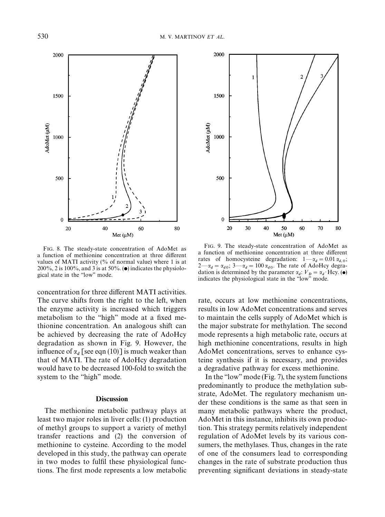<span id="page-9-0"></span>

FIG. 8. The steady-state concentration of AdoMet as a function of methionine concentration at three different values of MATI activity  $\frac{6}{6}$  of normal value) where 1 is at 200%, 2 is 100%, and 3 is at 50%.  $\bullet$  indicates the physiological state in the "low" mode.

concentration for three different MATI activities. The curve shifts from the right to the left, when the enzyme activity is increased which triggers metabolism to the "high" mode at a fixed methionine concentration. An analogous shift can be achieved by decreasing the rate of AdoHcy degradation as shown in Fig. 9. However, the influence of  $\alpha_d$  [see [eqn \(10\)\]](#page-6-0) is much weaker than that of MATI. The rate of AdoHcy degradation would have to be decreased 100-fold to switch the system to the "high" mode.

## **Discussion**

The methionine metabolic pathway plays at least two major roles in liver cells: (1) production of methyl groups to support a variety of methyl transfer reactions and (2) the conversion of methionine to cysteine. According to the model developed in this study, the pathway can operate in two modes to fulfil these physiological functions. The first mode represents a low metabolic



FIG. 9. The steady-state concentration of AdoMet as a function of methionine concentration at three different rates of homocysteine degradation:  $1-\alpha_d = 0.01 \alpha_{d,0}$ ;  $2-\alpha_d = \alpha_{d0}$ ;  $3-\alpha_d = 100 \alpha_{d0}$ . The rate of AdoHcy degradation is determined by the parameter  $\alpha_d$ :  $V_D = \alpha_d$ . Hcy. ( $\bullet$ ) indicates the physiological state in the "low" mode.

rate, occurs at low methionine concentrations, results in low AdoMet concentrations and serves to maintain the cells supply of AdoMet which is the major substrate for methylation. The second mode represents a high metabolic rate, occurs at high methionine concentrations, results in high AdoMet concentrations, serves to enhance cysteine synthesis if it is necessary, and provides a degradative pathway for excess methionine.

In the "low" mode [\(Fig. 7\),](#page-8-0) the system functions predominantly to produce the methylation substrate, AdoMet. The regulatory mechanism under these conditions is the same as that seen in many metabolic pathways where the product, AdoMet in this instance, inhibits its own production. This strategy permits relatively independent regulation of AdoMet levels by its various consumers, the methylases. Thus, changes in the rate of one of the consumers lead to corresponding changes in the rate of substrate production thus preventing significant deviations in steady-state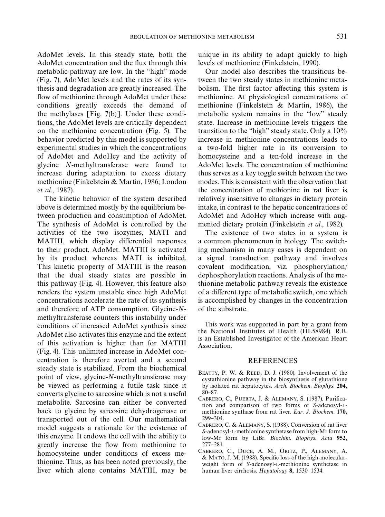<span id="page-10-0"></span>AdoMet levels. In this steady state, both the AdoMet concentration and the flux through this metabolic pathway are low. In the "high" mode [\(Fig. 7\)](#page-8-0), AdoMet levels and the rates of its synthesis and degradation are greatly increased. The flow of methionine through AdoMet under these conditions greatly exceeds the demand of the methylases [\[Fig. 7\(b\)\]](#page-8-0). Under these conditions, the AdoMet levels are critically dependent on the methionine concentration [\(Fig. 5\).](#page-7-0) The behavior predicted by this model is supported by experimental studies in which the concentrations of AdoMet and AdoHcy and the activity of glycine *N*-methyltransferase were found to increase during adaptation to excess dietary methionine [\(Finkelstein & Martin, 1986; London](#page-11-0) *et al*[., 1987\).](#page-11-0)

The kinetic behavior of the system described above is determined mostly by the equilibrium between production and consumption of AdoMet. The synthesis of AdoMet is controlled by the activities of the two isozymes, MATI and MATIII, which display differential responses to their product, AdoMet. MATIII is activated by its product whereas MATI is inhibited. This kinetic property of MATIII is the reason that the dual steady states are possible in this pathway [\(Fig. 4\)](#page-6-0). However, this feature also renders the system unstable since high AdoMet concentrations accelerate the rate of its synthesis and therefore of ATP consumption. Glycine-*N*methyltransferase counters this instability under conditions of increased AdoMet synthesis since AdoMet also activates this enzyme and the extent of this activation is higher than for MATIII [\(Fig. 4\).](#page-6-0) This unlimited increase in AdoMet concentration is therefore averted and a second steady state is stabilized. From the biochemical point of view, glycine-*N*-methyltransferase may be viewed as performing a futile task since it converts glycine to sarcosine which is not a useful metabolite. Sarcosine can either be converted back to glycine by sarcosine dehydrogenase or transported out of the cell. Our mathematical model suggests a rationale for the existence of this enzyme. It endows the cell with the ability to greatly increase the #ow from methionine to homocysteine under conditions of excess methionine. Thus, as has been noted previously, the liver which alone contains MATIII, may be

unique in its ability to adapt quickly to high levels of methionine [\(Finkelstein, 1990\)](#page-11-0).

Our model also describes the transitions between the two steady states in methionine metabolism. The first factor affecting this system is methionine. At physiological concentrations of methionine [\(Finkelstein & Martin, 1986\)](#page-11-0), the metabolic system remains in the "low" steady state. Increase in methionine levels triggers the transition to the "high" steady state. Only a  $10\%$ increase in methionine concentrations leads to a two-fold higher rate in its conversion to homocysteine and a ten-fold increase in the AdoMet levels. The concentration of methionine thus serves as a key toggle switch between the two modes. This is consistent with the observation that the concentration of methionine in rat liver is relatively insensitive to changes in dietary protein intake, in contrast to the hepatic concentrations of AdoMet and AdoHcy which increase with augmented dietary protein [\(Finkelstein](#page-11-0) *et al*., 1982).

The existence of two states in a system is a common phenomenon in biology. The switching mechanism in many cases is dependent on a signal transduction pathway and involves  $covalent$  modification, viz. phosphorylation/ dephosphorylation reactions. Analysis of the methionine metabolic pathway reveals the existence of a different type of metabolic switch, one which is accomplished by changes in the concentration of the substrate.

This work was supported in part by a grant from the National Institutes of Health (HL58984). R.B. is an Established Investigator of the American Heart Association.

#### REFERENCES

- BEATTY, P. W. & REED, D. J. (1980). Involvement of the cystathionine pathway in the biosynthesis of glutathione by isolated rat hepatocytes. *Arch*. *Biochem*. *Biophys*. 204, 80-87.
- CABRERO, C., PUERTA, J. & ALEMANY, S. (1987). Purification and comparison of two forms of *S*-adenosyl-Lmethionine synthase from rat liver. *Eur*. *J*. *Biochem*. 170, 299-304.
- CABRERO, C. & ALEMANY, S. (1988). Conversion of rat liver *S*-adenosyl-L-methionine synthetase from high-Mr form to low-Mr form by LiBr. *Biochim*. *Biophys*. *Acta* 952, 277-281.
- CABRERO, C., DUCE, A. M., ORITZ, P., ALEMANY, A. & MATO, J. M. (1988). Specific loss of the high-molecularweight form of *S*-adenosyl-L-methionine synthetase in human liver cirrhosis. *Hepatology* 8, 1530-1534.